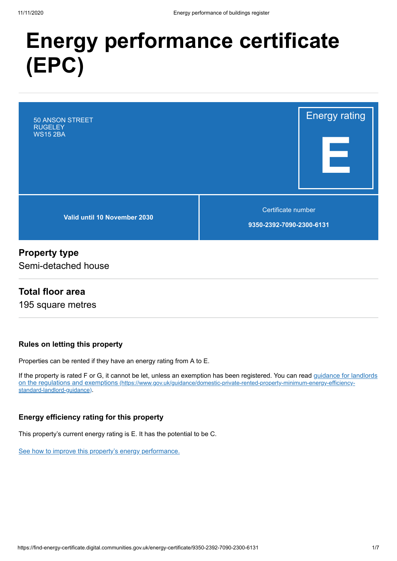# **Energy performance certificate (EPC)**



## **Property type**

Semi-detached house

## **Total floor area**

195 square metres

#### **Rules on letting this property**

Properties can be rented if they have an energy rating from A to E.

[If the property is rated F or G, it cannot be let, unless an exemption has been registered. You can read guidance for landlords](https://www.gov.uk/guidance/domestic-private-rented-property-minimum-energy-efficiency-standard-landlord-guidance) on the regulations and exemptions (https://www.gov.uk/guidance/domestic-private-rented-property-minimum-energy-efficiencystandard-landlord-guidance).

#### **Energy efficiency rating for this property**

This property's current energy rating is E. It has the potential to be C.

[See how to improve this property's energy performance.](#page-3-0)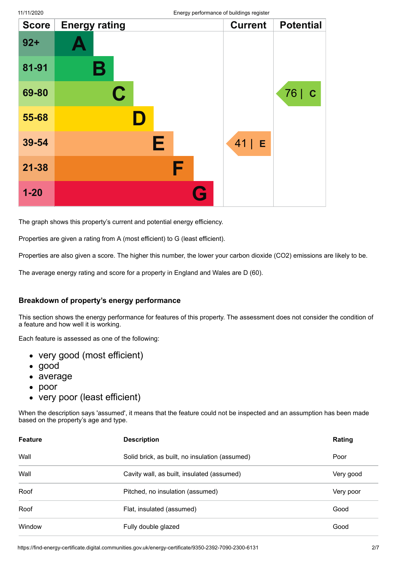| <b>Score</b> | <b>Energy rating</b> | <b>Current</b> | <b>Potential</b>  |
|--------------|----------------------|----------------|-------------------|
| $92+$        |                      |                |                   |
| 81-91        | В                    |                |                   |
| 69-80        | $\mathbf C$          |                | 76<br>$\mathbf C$ |
| 55-68        |                      |                |                   |
| 39-54        | Е                    | $41$   E       |                   |
| $21 - 38$    | F                    |                |                   |
| $1 - 20$     | Q                    |                |                   |

The graph shows this property's current and potential energy efficiency.

Properties are given a rating from A (most efficient) to G (least efficient).

Properties are also given a score. The higher this number, the lower your carbon dioxide (CO2) emissions are likely to be.

The average energy rating and score for a property in England and Wales are D (60).

#### **Breakdown of property's energy performance**

This section shows the energy performance for features of this property. The assessment does not consider the condition of a feature and how well it is working.

Each feature is assessed as one of the following:

- very good (most efficient)
- good
- average
- $\bullet$ poor
- very poor (least efficient)

When the description says 'assumed', it means that the feature could not be inspected and an assumption has been made based on the property's age and type.

| <b>Feature</b> | <b>Description</b>                             | Rating    |
|----------------|------------------------------------------------|-----------|
| Wall           | Solid brick, as built, no insulation (assumed) | Poor      |
| Wall           | Cavity wall, as built, insulated (assumed)     | Very good |
| Roof           | Pitched, no insulation (assumed)               | Very poor |
| Roof           | Flat, insulated (assumed)                      | Good      |
| Window         | Fully double glazed                            | Good      |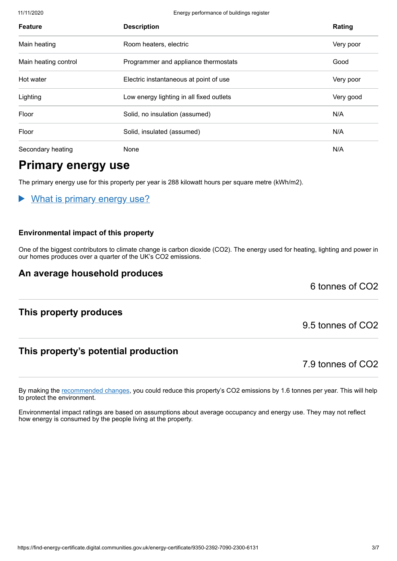11/11/2020 Energy performance of buildings register

| <b>Feature</b>       | <b>Description</b>                       | Rating    |
|----------------------|------------------------------------------|-----------|
| Main heating         | Room heaters, electric                   | Very poor |
| Main heating control | Programmer and appliance thermostats     | Good      |
| Hot water            | Electric instantaneous at point of use   | Very poor |
| Lighting             | Low energy lighting in all fixed outlets | Very good |
| Floor                | Solid, no insulation (assumed)           | N/A       |
| Floor                | Solid, insulated (assumed)               | N/A       |
| Secondary heating    | None                                     | N/A       |

# **Primary energy use**

The primary energy use for this property per year is 288 kilowatt hours per square metre (kWh/m2).

What is primary energy use?

#### **Environmental impact of this property**

One of the biggest contributors to climate change is carbon dioxide (CO2). The energy used for heating, lighting and power in our homes produces over a quarter of the UK's CO2 emissions.

### **An average household produces**

6 tonnes of CO2

### **This property produces**

## **This property's potential production**

7.9 tonnes of CO2

9.5 tonnes of CO2

By making the [recommended changes](#page-3-0), you could reduce this property's CO2 emissions by 1.6 tonnes per year. This will help to protect the environment.

Environmental impact ratings are based on assumptions about average occupancy and energy use. They may not reflect how energy is consumed by the people living at the property.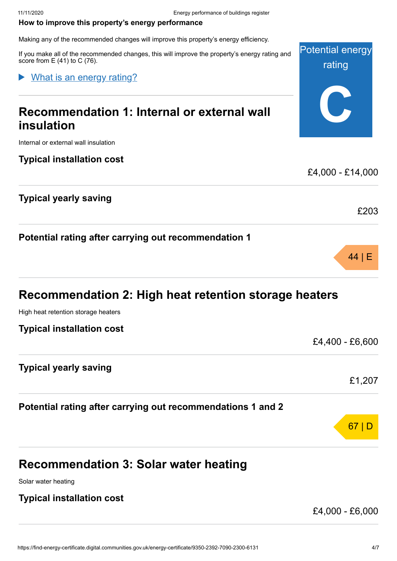#### <span id="page-3-0"></span>**How to improve this property's energy performance**

Making any of the recommended changes will improve this property's energy efficiency.

If you make all of the recommended changes, this will improve the property's energy rating and score from  $E(41)$  to C (76).

#### What is an energy rating?

# **Recommendation 1: Internal or external wall insulation**

Internal or external wall insulation

#### **Typical installation cost**

### **Typical yearly saving**

**Potential rating after carrying out recommendation 1**

# **Recommendation 2: High heat retention storage heaters**

High heat retention storage heaters

**Typical installation cost**

| TYPICAI IIIƏtAIIAUVII COST                                  | £4,400 - £6,600 |
|-------------------------------------------------------------|-----------------|
| <b>Typical yearly saving</b>                                | £1,207          |
| Potential rating after carrying out recommendations 1 and 2 |                 |
|                                                             | 6               |

# **Recommendation 3: Solar water heating**

Solar water heating

#### **Typical installation cost**

£4,000 - £6,000

Potential energy

rating

**C**

£4,000 - £14,000

£203

44 | E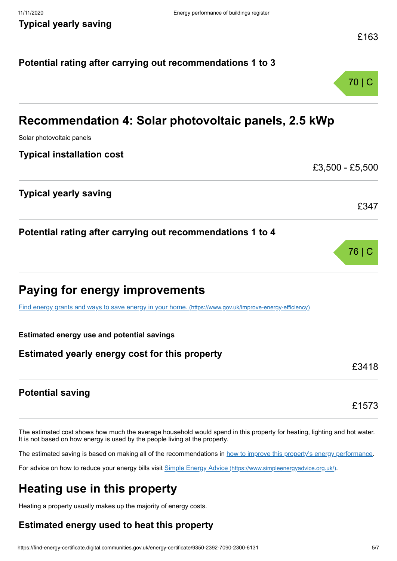# **Potential rating after carrying out recommendations 1 to 3** 70 | C **Recommendation 4: Solar photovoltaic panels, 2.5 kWp** Solar photovoltaic panels **Typical installation cost** £3,500 - £5,500 **Typical yearly saving** £347 **Potential rating after carrying out recommendations 1 to 4** 76 | C **Paying for energy improvements** [Find energy grants and ways to save energy in your home.](https://www.gov.uk/improve-energy-efficiency) (https://www.gov.uk/improve-energy-efficiency) **Estimated energy use and potential savings Estimated yearly energy cost for this property** £3418 **Potential saving** £1573

The estimated cost shows how much the average household would spend in this property for heating, lighting and hot water. It is not based on how energy is used by the people living at the property.

The estimated saving is based on making all of the recommendations in [how to improve this property's energy performance.](#page-3-0)

For advice on how to reduce your energy bills visit Simple Energy Advice [\(https://www.simpleenergyadvice.org.uk/\)](https://www.simpleenergyadvice.org.uk/).

# **Heating use in this property**

Heating a property usually makes up the majority of energy costs.

## **Estimated energy used to heat this property**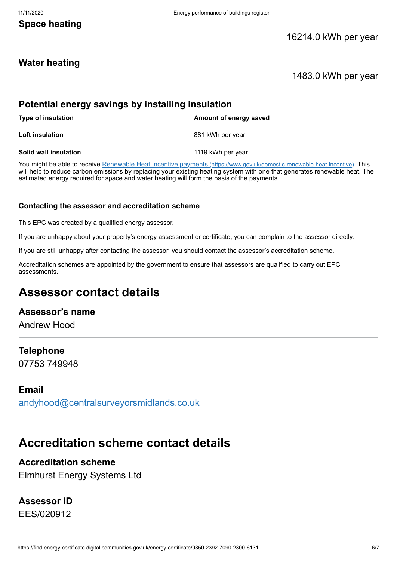## **Space heating**

## **Water heating**

#### 1483.0 kWh per year

## **Potential energy savings by installing insulation**

| <b>Type of insulation</b> | Amount of energy saved |  |
|---------------------------|------------------------|--|
| <b>Loft insulation</b>    | 881 kWh per year       |  |
| Solid wall insulation     | 1119 kWh per year      |  |

You might be able to receive Renewable Heat Incentive payments [\(https://www.gov.uk/domestic-renewable-heat-incentive\)](https://www.gov.uk/domestic-renewable-heat-incentive). This will help to reduce carbon emissions by replacing your existing heating system with one that generates renewable heat. The estimated energy required for space and water heating will form the basis of the payments.

#### **Contacting the assessor and accreditation scheme**

This EPC was created by a qualified energy assessor.

If you are unhappy about your property's energy assessment or certificate, you can complain to the assessor directly.

If you are still unhappy after contacting the assessor, you should contact the assessor's accreditation scheme.

Accreditation schemes are appointed by the government to ensure that assessors are qualified to carry out EPC assessments.

# **Assessor contact details**

### **Assessor's name**

Andrew Hood

#### **Telephone**

07753 749948

#### **Email**

[andyhood@centralsurveyorsmidlands.co.uk](mailto:andyhood@centralsurveyorsmidlands.co.uk)

# **Accreditation scheme contact details**

#### **Accreditation scheme**

Elmhurst Energy Systems Ltd

### **Assessor ID**

EES/020912